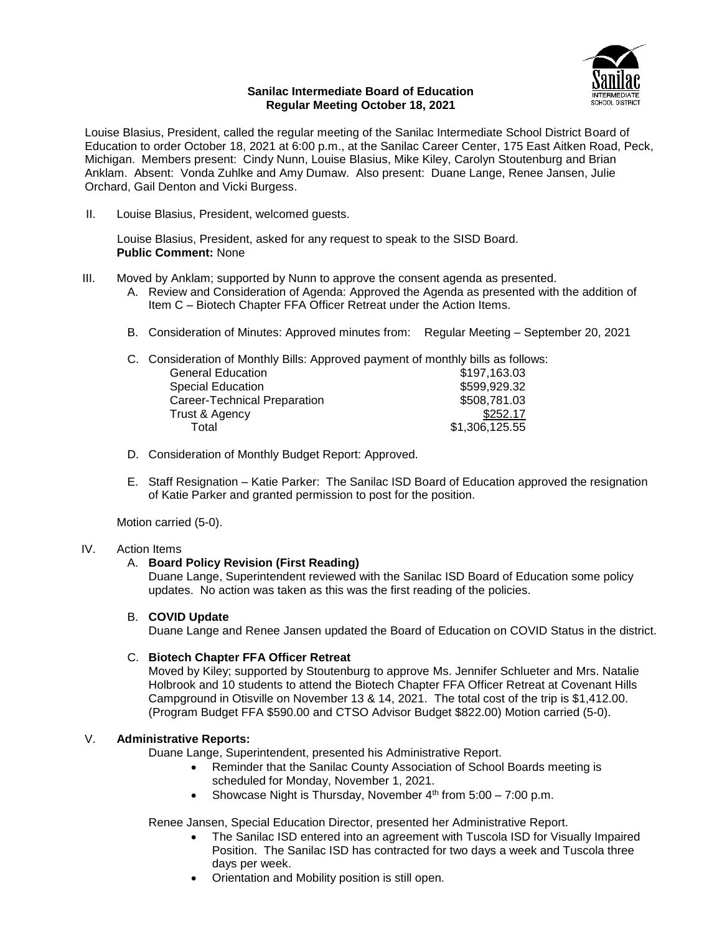

### **Sanilac Intermediate Board of Education Regular Meeting October 18, 2021**

Louise Blasius, President, called the regular meeting of the Sanilac Intermediate School District Board of Education to order October 18, 2021 at 6:00 p.m., at the Sanilac Career Center, 175 East Aitken Road, Peck, Michigan. Members present: Cindy Nunn, Louise Blasius, Mike Kiley, Carolyn Stoutenburg and Brian Anklam. Absent: Vonda Zuhlke and Amy Dumaw. Also present: Duane Lange, Renee Jansen, Julie Orchard, Gail Denton and Vicki Burgess.

II. Louise Blasius, President, welcomed guests.

Louise Blasius, President, asked for any request to speak to the SISD Board. **Public Comment:** None

- III. Moved by Anklam; supported by Nunn to approve the consent agenda as presented.
	- A. Review and Consideration of Agenda: Approved the Agenda as presented with the addition of Item C – Biotech Chapter FFA Officer Retreat under the Action Items.
	- B. Consideration of Minutes: Approved minutes from: Regular Meeting September 20, 2021

|  | C. Consideration of Monthly Bills: Approved payment of monthly bills as follows: |                |
|--|----------------------------------------------------------------------------------|----------------|
|  | <b>General Education</b>                                                         | \$197,163.03   |
|  | <b>Special Education</b>                                                         | \$599,929.32   |
|  | Career-Technical Preparation                                                     | \$508,781.03   |
|  | Trust & Agency                                                                   | \$252.17       |
|  | Total                                                                            | \$1,306,125.55 |

- D. Consideration of Monthly Budget Report: Approved.
- E. Staff Resignation Katie Parker: The Sanilac ISD Board of Education approved the resignation of Katie Parker and granted permission to post for the position.

Motion carried (5-0).

## IV. Action Items

## A. **Board Policy Revision (First Reading)**

Duane Lange, Superintendent reviewed with the Sanilac ISD Board of Education some policy updates. No action was taken as this was the first reading of the policies.

## B. **COVID Update**

Duane Lange and Renee Jansen updated the Board of Education on COVID Status in the district.

## C. **Biotech Chapter FFA Officer Retreat**

Moved by Kiley; supported by Stoutenburg to approve Ms. Jennifer Schlueter and Mrs. Natalie Holbrook and 10 students to attend the Biotech Chapter FFA Officer Retreat at Covenant Hills Campground in Otisville on November 13 & 14, 2021. The total cost of the trip is \$1,412.00. (Program Budget FFA \$590.00 and CTSO Advisor Budget \$822.00) Motion carried (5-0).

# V. **Administrative Reports:**

Duane Lange, Superintendent, presented his Administrative Report.

- Reminder that the Sanilac County Association of School Boards meeting is scheduled for Monday, November 1, 2021.
- Showcase Night is Thursday, November  $4<sup>th</sup>$  from 5:00 7:00 p.m.

Renee Jansen, Special Education Director, presented her Administrative Report.

- The Sanilac ISD entered into an agreement with Tuscola ISD for Visually Impaired Position. The Sanilac ISD has contracted for two days a week and Tuscola three days per week.
- Orientation and Mobility position is still open.